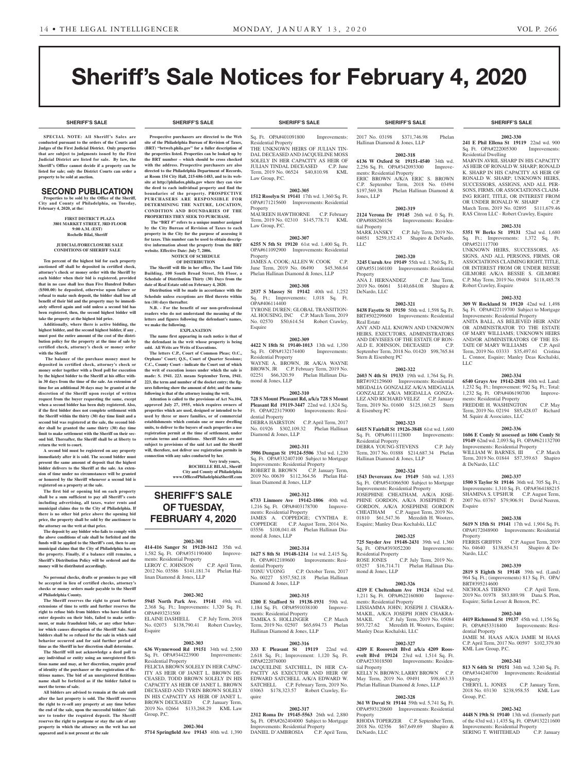**SHERIFF'S SALE SHERIFF'S SALE SHERIFF'S SALE SHERIFF'S SALE SHERIFF'S SALE**

# Sheriff's Sale Notices for February 4, 2020

#### **SHERIFF'S SALE SHERIFF'S SALE SHERIFF'S SALE SHERIFF'S SALE SHERIFF'S SALE**

**SPECIAL NOTE: All Sheriff 's Sales are conducted pursuant to the orders of the Courts and Judges of the First Judicial District. Only properties that are subject to judgments issued by the First Judicial District are listed for sale. By law, the Sheriff's Office cannot decide if a property can be listed for sale; only the District Courts can order a property to be sold at auction.** 

# SECOND PUBLICATION

**Properties to be sold by the Office of the Sheriff, City and County of Philadelphia, on Tuesday, February 4, 2020, at the:** 

#### **FIRST DISTRICT PLAZA 3801 MARKET STREET, 3RD FLOOR 9:00 A.M. (EST) Rochelle Bilal, Sheriff**

#### **JUDICIAL/FORECLOSURE SALE CONDITIONS OF SHERIFF SALE**

**Ten percent of the highest bid for each property auctioned off shall be deposited in certified check, attorney's check or money order with the Sheriff by each bidder when their bid is registered, provided that in no case shall less than Five Hundred Dollars (\$500.00) be deposited, otherwise upon failure or refusal to make such deposit, the bidder shall lose all benefit of their bid and the property may be immediately offered again and sold unless a second bid has been registered, then, the second highest bidder will take the property at the highest bid price.**

**Additionally, where there is active bidding, the highest bidder, and the second highest bidder, if any , must post the entire amount of the cost of the distribution policy for the property at the time of sale by certified check, attorney's check or money order with the Sheriff**

 **The balance of the purchase money must be deposited in certified check, attorney's check or money order together with a Deed poll for execution by the highest bidder to the Sheriff at his office within 30 days from the time of the sale. An extension of time for an additional 30 days may be granted at the discretion of the Sheriff upon receipt of written request from the buyer requesting the same, except when a second bidder has been duly registered. Also, if the first bidder does not complete settlement with the Sheriff within the thirty (30) day time limit and a second bid was registered at the sale, the second bidder shall be granted the same thirty (30) day time limit to make settlement with the Sheriff on their second bid. Thereafter, the Sheriff shall be at liberty to return the writ to court.**

**A second bid must be registered on any property immediately after it is sold. The second bidder must present the same amount of deposit that the highest bidder delivers to the Sheriff at the sale. An extension of time under no circumstances will be granted or honored by the Sheriff whenever a second bid is registered on a property at the sale.** 

**The first bid or opening bid on each property shall be a sum sufficient to pay all Sheriff's costs including advertising, all taxes, water rents and municipal claims due to the City of Philadelphia. If there is no other bid price above the opening bid price, the property shall be sold by the auctioneer to the attorney on the writ at that price.**

**The deposit by any bidder who fails to comply with the above conditions of sale shall be forfeited and the funds will be applied to the Sheriff's cost, then to any municipal claims that the City of Philadelphia has on the property. Finally, if a balance still remains, a Sheriff's Distribution Policy will be ordered and the money will be distributed accordingly.**

**No personal checks, drafts or promises to pay will be accepted in lieu of certified checks, attorney's checks or money orders made payable to the Sheriff of Philadelphia County.**

**The Sheriff reserves the right to grant further extensions of time to settle and further reserves the right to refuse bids from bidders who have failed to enter deposits on their bids, failed to make settlement, or make fraudulent bids, or any other behavior which causes disruption of the Sheriff Sale. Said bidders shall be so refused for the sale in which said behavior occurred and for said further period of time as the Sheriff in her discretion shall determine.**

**The Sheriff will not acknowledge a deed poll to any individual or entity using an unregistered fictitious name and may, at her discretion, require proof of identity of the purchaser or the registration of fictitious names. The bid of an unregistered fictitious name shall be forfeited as if the bidder failed to meet the terms of sale.**

**All bidders are advised to remain at the sale until after the last property is sold. The Sheriff reserves the right to re-sell any property at any time before the end of the sale, upon the successful bidders' failure to tender the required deposit. The Sheriff reserves the right to postpone or stay the sale of any property in which the attorney on the writ has not appeared and is not present at the sale**

**Prospective purchasers are directed to the Web site of the Philadelphia Bureau of Revision of Taxes, (BRT) "brtweb.phila.gov" for a fuller description of the properties listed. Properties can be looked up by the BRT number – which should be cross checked with the address. Prospective purchasers are also directed to the Philadelphia Department of Records, at Room 154 City Hall, 215-686-1483, and to its website at http://philadox.phila.gov where they can view the deed to each individual property and find the boundaries of the property. PROSPECTIVE PURCHASERS ARE RESPONSIBLE FOR DETERMINING THE NATURE, LOCATION, CONDITION AND BOUNDARIES OF THE PROPERTIES THEY SEEK TO PURCHASE. The "BRT #" refers to a unique number assigned by the City Bureau of Revision of Taxes to each property in the City for the purpose of assessing it for taxes. This number can be used to obtain descriptive information about the property from the BRT** 

**website. Effective Date: July 7, 2006.**

**ten (10) days thereafter.**

**we make the following.**

**NOTICE OF SCHEDULE OF DISTRIBUTION The Sheriff will file in her office, The Land Title Building, 100 South Broad Street, 5th Floor, a Schedule of Distribution Thirty (30) Days from the date of Real Estate sold on February 4, 2020. Distribution will be made in accordance with the Schedule unless exceptions are filed thereto within** 

**N.B. - For the benefit of our non-professional readers who do not understand the meaning of the letters and figures following the defendant's names,** 

**EXPLANATION The name first appearing in each notice is that of the defendant in the writ whose property is being sold. All Writs are Writs of Executions.**

**The letters C.P., Court of Common Pleas; O.C., Orphans' Court; Q.S., Court of Quarter Sessions; C.C., County Court - indicate the Court out of which the writ of execution issues under which the sale is made: S. 1941. 223. means September Term, 1941. 223, the term and number of the docket entry; the figures following show the amount of debt; and the name following is that of the attorney issuing the writ. Attention is called to the provisions of Act No.104, approved July 27, 1955, which requires owners of properties which are used, designed or intended to be used by three or more families, or of commercial establishments which contain one or more dwelling units, to deliver to the buyers of such properties a use registration permit at the time of settlement, under certain terms and conditions. Sheriff Sales are not subject to provisions of the said Act and the Sheriff will, therefore, not deliver use registration permits in connection with any sales conducted by her.**

**SHERIFF'S SALE OF TUESDAY, FEBRUARY 4, 2020**

**2002-301 414-416 Sanger St 19120-1612** 35th wd. 1,582 Sq. Ft. OPA#351190400 Improve-

LEROY C. JOHNSON C.P. April Term, 2012 No. 03586 \$141,181.74 Phelan Hal-

**2002-302 5945 North Park Ave. 19141** 49th wd. 2,368 Sq. Ft.; Improvements: 1,320 Sq. Ft.

ELAINE DASHIELL C.P. July Term, 2018 No. 02073 \$138,790.41 Robert Crawley,

**2002-303 636 Wynnewood Rd 19151** 34th wd. 2,500 Sq. Ft. OPA#344223900 Improvements:

FELICIA BROWN SOLELY IN HER CAPAC-ITY AS HEIR OF JANET L. BROWN DE-CEASED, TODD BROWN SOLELY IN HIS CAPACITY AS HEIR OF JANET L. BROWN DECEASED AND TYRIN BROWN SOLELY IN HIS CAPACITY AS HEIR OF JANET L. BROWN DECEASED C.P. January Term, 2019 No. 02664 \$133,268.29 KML Law

**2002-304 5714 Springfield Ave 19143** 40th wd. 1,390

ments: Residential Property

linan Diamond & Jones, LLP

OPA#493231500

Residential Property

Group, P.C.

Esquire

**Very truly yours, ROCHELLE BILAL, Sheriff City and County of Philadelphia www.OfficeofPhiladelphiaSheriff.com**

Sq. Ft. OPA#401091800 Improvements: Residential Property THE UNKNOWN HEIRS OF JULIAN TIN-DAL DECEASED AND JACQUELINE MOSS SOLELY IN HER CAPACITY AS HEIR OF JULIAN TINDAL DECEASED C.P. June Term, 2019 No. 06524 \$40,810.98 KML Law Group, P.C.

# **2002-305**

**1512 Roselyn St 19141** 17th wd. 1,360 Sq. Ft. OPA#171215600 Improvements: Residential Property

MAUREEN HAWTHORNE C.P. February Term, 2019 No. 02310 \$145,778.71 KML Law Group, P.C.

#### **2002-307**

**6255 N 5th St 19120** 61st wd. 1,400 Sq. Ft. OPA#611092900 Improvements: Residential Property

JAMES A. COOK; ALLEN W. COOK C.P. June Term, 2019 No. 06490 \$45,368.64 Phelan Hallinan Diamond & Jones, LLP

### **2002-308**

**2537 S Massey St 19142** 40th wd. 1,252 Sq. Ft.; Improvements: 1,018 Sq. Ft. OPA#406114400 TYRONE DUREN; GLOBAL TRANSITION-AL HOUSING, INC C.P. March Term, 2019 No. 02570 \$50,614.54 Robert Crawley, **Esquire** 

#### **2002-309**

**4422 N 18th St 19140-1013** 13th wd. 1,350 Sq. Ft. OPA#132174400 Improvements: Residential Property WAYNE A. BROWN, JR A/K/A WAYNE BROWN, JR C.P. February Term, 2019 No. 02251 \$66,320.59 Phelan Hallinan Diamond & Jones, LLP

#### **2002-310**

**728 S Mount Pleasant Rd, a/k/a 728 S Mount Pleasant Rd 19119-3447** 22nd wd. 1,824 Sq. Ft. OPA#223179000 Improvements: Residential Property DEBRA HAIRSTON C.P. April Term, 2017 No. 01926 \$302,109.32 Phelan Hallinan

Diamond & Jones, LLP

# **2002-311**

**3906 Dungan St 19124-5506** 33rd wd. 1,230 Sq. Ft. OPA#332407100 Subject to Mortgage Improvements: Residential Property ROBERT B. BROWN C.P. January Term, 2019 No. 00639 \$112,364.56 Phelan Hallinan Diamond & Jones, LLP

#### **2002-312**

**6733 Linmore Ave 19142-1806** 40th wd. 1,216 Sq. Ft. OPA#403178700 Improvements: Residential Property JAMES A. COPPEDGE; CYNTHIA E.<br>COPPEDGE C.P. August Term, 2014 No. C.P. August Term, 2014 No. 03556 \$108,041.48 Phelan Hallinan Diamond & Jones, LLP

#### **2002-314**

**1627 S 8th St 19148-1214** 1st wd. 2,415 Sq. Ft. OPA#012189600 Improvements: Residential Property<br>TONU VUONG C.P. October Term, 2017 No. 00227 \$357,582.18 Phelan Hallinan Diamond & Jones, LLP

#### **2002-315**

**1200 E Stafford St 19138-1931** 59th wd.<br>1,184 Sq. Ft. OPA#591038100 Improve-1,184 Sq. Ft. OPA#591038100 ments: Residential Property TAMIKA S. HOLLINGER C.P. March Term, 2019 No. 02507 \$65,694.73 Phelan Hallinan Diamond & Jones, LLP

### **2002-316**

**333 E Pleasant St 19119** 22nd wd. 2,618 Sq. Ft.; Improvement: 1,120 Sq. Ft. OPA#222076000 JACQUELINE SATCHELL, IN HER CA-PACITY AS EXECUTOR AND HEIR OF EDWARD SATCHELL A/K/A EDWARD W. SATCHELL C.P. February Term, 2019 No. 03063 \$178,323.57 Robert Crawley, Esquire

# **2002-317**

**2312 Roma Dr 19145-5563** 26th wd. 2,880 Sq. Ft. OPA#262404000 Subject to Mortgage Improvements: Residential Property DANIEL D'AMBROSIA C.P. April Term,

2017 No. 03198 \$371,746.98 Phelan Hallinan Diamond & Jones, LLP

#### **2002-318**

**6136 W Oxford St 19151-4540** 34th wd. 2,256 Sq. Ft. OPA#342093300 Improvements: Residential Property ERIC BROWN A/K/A ERIC S. BROWN C.P. September Term, 2018 No. 03494<br>\$197.569.38 Phelan Hallinan Diamond & **Phelan Hallinan Diamond &** Jones, LLP

# **2002-319**

**2124 Verona Dr 19145** 26th wd. 0 Sq. Ft. Improvements: Residential Property<br>MARK JANSKY C.P. July Term, 2019 No. 04051 \$259,152.43 Shapiro & DeNardo, LLC

#### **2002-320 3245 Unruh Ave 19149** 55th wd. 1,760 Sq. Ft.

OPA#551160100 Improvements: Residential Property ANA J. HERNANDEZ C.P. June Term, 2019 No. 06061 \$140,684.08 Shapiro & DeNardo, LLC

**2002-321 8438 Fayette St 19150** 50th wd. 1,598 Sq. Ft.

BRT#502299600 Improvements: Residential Real Estate ANY AND ALL KNOWN AND UNKNOWN HEIRS, EXECUTORS, ADMINISTRATORS AND DEVISEES OF THE ESTATE OF RON-ALD E. JOHNSON, DECEASED C.P. September Term, 2018 No. 01420 \$98,765.84 Stern & Eisenberg PC

# **2002-322**

**2603 N 4th St 19133** 19th wd. 1,764 Sq. Ft. BRT#192129600 Improvements: Residential MIGDALIA GONZALEZ A/K/A MIDGALIA GONZALEZ A/K/A MIGDALLA GONZA-LEZ AND RICHARD VELEZ C.P. January Term, 2019 No. 01600 \$125,160.25 Stern & Eisenberg PC

# **2002-323**

**6415 N Fairhill St 19126-3848** 61st wd. 1,600 Sq. Ft. OPA#611112800 Improvements: Residential Property DEBRA YOUNG-STEVENS C.P. July

Term, 2017 No. 01888 \$214,687.34 Phelan Hallinan Diamond & Jones, LLP

# **2002-324**

**1543 Devereaux Ave 19149** 54th wd. 1,353 Sq. Ft. OPA#541066500 Subject to Mortgage Improvements: Residential Property JOSEPHINE CHEATHAM, A/K/A JOSE-PHINE GORDON, A/K/A JOSEPHINE P. GORDON, A/K/A JOSEPHINE GORDON CHEATHAM C.P. August Term, 2019 No. 01810 \$61,547.36 Meredith H. Wooters, Esquire; Manley Deas Kochalski, LLC

#### **2002-325**

**725 Snyder Ave 19148-2431** 39th wd. 1,360 Sq. Ft. OPA#393052200 Improvements: Residential Property<br>ROSE JONES  $\sigma$ C.P. July Term, 2019 No. 03257 \$16,714.71 Phelan Hallinan Diamond & Jones, LLP

#### **2002-326**

**4219 E Cheltenham Ave 19124** 62nd wd. 1,211 Sq. Ft. OPA#622160800 Improvements: Residential Property LISSIAMMA JOHN; JOSEPH J. CHAKRA-MAKIL, A/K/A JOSEPH JOHN CHAKRA-MAKIL C.P. July Term, 2019 No. 05084 \$93,727.62 Meredith H. Wooters, Esquire; Manley Deas Kochalski, LLC

#### **2002-327 4209 E Roosevelt Blvd a/k/a 4209 Roos-**

**evelt Blvd 19124** 23rd wd. 1,514 Sq. Ft. OPA#233018500 Improvements: Residential Property KELLY N. BROWN; LARRY BROWN C.P. May Term, 2019 No. 09491 \$98,663.33 Phelan Hallinan Diamond & Jones, LLP

# **2002-328**

**361 W Duval St 19144** 59th wd. 5,741 Sq. Ft. OPA#593120600 Improvements: Residential Property RHODA TOPERZER C.P. September Term,

2018 No. 02356 \$67,649.69 Shapiro & DeNardo, LLC

#### **2002-330**

**241 E Phil Ellena St 19119** 22nd wd. 900 Sq. Ft. OPA#222005300 Improvements:

Residential Dwelling MARVIN AVRIL SHARP IN HIS CAPACITY AS HEIR OF RONALD W. SHARP; RONALD K. SHARP IN HIS CAPACITY AS HEIR OF RONALD W. SHARP; UNKNOWN HEIRS, SUCCESSORS, ASSIGNS, AND ALL PER-SONS, FIRMS, OR ASSOCIATIONS CLAIM-ING RIGHT, TITLE, OR INTEREST FROM OR UNDER RONALD W. SHARP C.P. March Term, 2019 No. 02895 \$111,679.46 RAS Citron LLC - Robert Crawley, Esquire

# **2002-331**

**5351 W Berks St 19131** 52nd wd. 1,680 Sq. Ft.; Improvements: 1,372 Sq. Ft. OPA#521117700

UNKNOWN HEIRS, SUCCESSORS, AS-SIGNS, AND ALL PERSONS, FIRMS, OR ASSOCIATIONS CLAIMING RIGHT, TITLE, OR INTEREST FROM OR UNDER BESSIE GILMORE A/K/A BESSIE S. GILMORE C.P. May Term, 2019 No. 09404 \$118,485.78 Robert Crawley, Esquire

# **2002-332**

**309 W Rockland St 19120** 42nd wd. 1,498 Sq. Ft. OPA#422119700 Subject to Mortgage Improvements: Residential Property ANITA BALL, AS BELIEVED HEIR AND/ OR ADMINISTRATOR TO THE ESTATE OF MARY WILLIAMS; UNKNOWN HEIRS AND/OR ADMINISTRATORS OF THE ES-TATE OF MARY WILLIAMS C.P. April Term, 2019 No. 03333 \$35,497.61 Cristina L. Connor, Esquire; Manley Deas Kochalski, LLC

# **2002-334**

**6540 Grays Ave 19142-2818** 40th wd. Land: 1,232 Sq. Ft.; Improvement: 992 Sq. Ft.; Total: 1,232 Sq. Ft. OPA#406190700 Improvements: Residential Property

FREDDIE H. WASHINGTON C.P. May Term, 2019 No. 02194 \$85,428.07 Richard M. Squire & Associates, LLC

### **2002-336**

**1606 E Comly St assessed as 1606 Comly St 19149** 62nd wd. 2,093 Sq. Ft. OPA#621132700 Improvements: Residential Property<br>WILLIAM W. BARNES, III. C. P. March WILLIAM W. BARNES, III Term, 2019 No. 01844 \$57,359.63 Shapiro

# **2002-337**

& DeNardo, LLC

**1500 S Taylor St 19146** 36th wd. 705 Sq. Ft.; Improvements: 1,310 Sq. Ft. OPA#364188215 SHAMINA S. UPSHUR C.P. August Term, 2007 No. 03767 \$79,906.91 David Neeren, Esquire

# **2002-338**

**5619 N 15th St 19141** 17th wd. 1,904 Sq. Ft. OPA#172048900 Improvements: Residential Property

# FERRIS GRIFFIN C.P. August Term, 2019

No. 04640 \$138,854.51 Shapiro & De-Nardo, LLC

# **2002-339**

**2819 S Eighth St 19148** 39th wd. (Land) 964 Sq. Ft.; (improvements) 813 Sq. Ft. OPA/ BRT#395214600 NICHOLAS TIERNO C.P. April Term,

2019 No. 01978 \$83,889.98 Dana S. Plon, Esquire; Sirlin Lesser & Benson, P.C.

#### **2002-340**

**4419 Richmond St 19137** 45th wd. 1,156 Sq. Ft. OPA#453318400 Improvements: Residential Property JAMIE M. HAAS A/K/A JAMIE M HAAS C.P. April Term, 2017 No. 00597. KML Law Group, P.C.

#### **2002-341 813 N 64th St 19151** 34th wd. 3,240 Sq. Ft. OPA#344240700 Improvements: Residential

CHERYL L. JONES C.P. January Term, 2018 No. 03130 \$238,958.55 KML Law

**2002-342 4448 N 19th St 19140** 13th wd. (formerly part of the 43rd wd.) 1,435 Sq. Ft. OPA#132211600 Improvements: Residential Property<br>SERING T. WHITEHEAD C.P. January

SERING T. WHITEHEAD

Property

Group, P.C.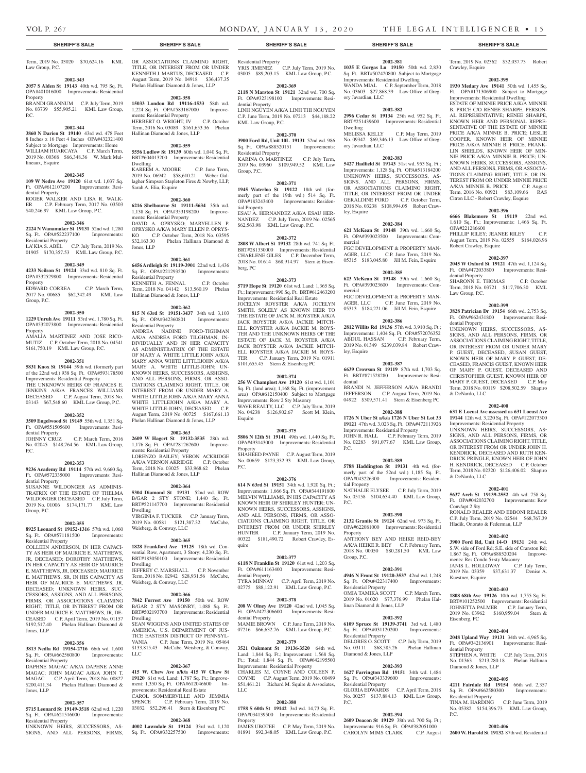Crawley, Esquire

Term, 2019 No. 02362 \$32,037.73 Robert

**2002-395 1930 Medary Ave 19141** 50th wd. 1,455 Sq. Ft. OPA#171306900 Subject to Mortgage Improvements: Residential Dwelling ESTATE OF MINNIE PRICE A/K/A MINNIE B. PRICE C/O RENEE SHARPE, PERSON-AL REPRESENTATIVE; RENEE SHARPE, KNOWN HEIR AND PERSONAL REPRE-SENTATIVE OF THE ESTATE OF MINNIE PRICE A/K/A MINNIE B. PRICE; LESLIE COOPER, KNOWN HEIR OF MINNIE PRICE A/K/A MINNIE B. PRICE; FRANK-LIN SHIELDS, KNOWN HEIR OF MIN-NIE PRICE A/K/A MINNIE B. PRICE; UN-KNOWN HEIRS, SUCCESSORS, ASSIGNS, AND ALL PERSONS, FIRMS, OR ASSOCIA-TIONS CLAIMING RIGHT, TITLE, OR IN-TEREST FROM OR UNDER MINNIE PRICE A/K/A MINNIE B. PRICE C.P. August Term, 2016 No. 00921 \$83,109.66 RAS Citron LLC - Robert Crawley, Esquire

**2002-396 6666 Blakemore St 19119** 22nd wd. 1,610 Sq. Ft.; Improvements: 1,466 Sq. Ft.

PHILLIP RILEY; JEANEE RILEY C.P. August Term, 2019 No. 02555 \$184,026.96

**2002-397 2045 W Oxford St 19121** 47th wd. 1,124 Sq. Ft. OPA#472033800 Improvements: Resi-

SHARONN E. THOMAS C.P. October Term, 2018 No. 03721 \$117,706.30 KML

**2002-399 3828 Patrician Dr 19154** 66th wd. 2,753 Sq. Ft. OPA#662431800 Improvements: Resi-

UNKNOWN HEIRS, SUCCESSORS, AS-SIGNS, AND ALL PERSONS, FIRMS, OR ASSOCIATIONS CLAIMING RIGHT, TITLE, OR INTEREST FROM OR UNDER MARY P. GUEST, DECEASED, SUSAN GUEST, KNOWN HEIR OF MARY P. GUEST, DE-CEASED, FRANCIS GUEST, KNOWN HEIR OF MARY P. GUEST, DECEASED AND CHRISTOPHER GUEST, KNOWN HEIR OF MARY P. GUEST, DECEASED C.P. May Term, 2018 No. 00119 \$208,502.59 Shapiro

**2002-400 631 E Locust Ave assessed as 631 Locust Ave 19144** 12th wd. 3,220 Sq. Ft. OPA#122073300 Improvements: Residential Property UNKNOWN HEIRS, SUCCESSORS, AS-SIGNS, AND ALL PERSONS, FIRMS, OR ASSOCIATIONS CLAIMING RIGHT, TITLE, OR INTEREST FROM OR UNDER JOHN H. KENDRICK, DECEASED AND RUTH KEN-DRICK PRINGLE, KNOWN HEIR OF JOHN H. KENDRICK, DECEASED C.P. October Term, 2018 No. 02320 \$126,406.02 Shapiro

**2002-401 5637 Arch St 19139-2552** 4th wd. 758 Sq. Ft. OPA#042032700 Improvements: Row

RONALD REALER AND EBBONI REALER C.P. July Term, 2019 No. 02544 \$68,767.39 Hladik, Onorato & Federman, LLP

**2002-402 3900 Ford Rd, Unit 14-O 19131** 24th wd. S.W. side of Ford Rd; S.E. side of Cranston Rd; 1,867 Sq. Ft. OPA#888520204 Improve-

**2002-403 1808 68th Ave 19126** 10th wd. 1,755 Sq. Ft. BRT#101252500 Improvements: Residential JOHNETTA PALMER C.P. January Term, 2019 No. 03962 \$160,959.04 Stern &

**2002-404 2048 Upland Way 19131** 34th wd. 4,965 Sq.

STEPHEN A. WHITE C.P. July Term, 2018 No. 01363 \$213,280.18 Phelan Hallinan

**2002-405 4211 Fairdale Rd 19154** 66th wd. 2,357

TINA M. HARDING C.P. June Term, 2019 No. 05382 \$154,396.73 KML Law Group,

**2002-406 2600 W. Harold St 19132** 87th wd. Residential

 $Ft$  OPA#342136901 Improve

ments: Res Condo 5+sty Masonry JANIS L. HOLLOWAY C.P. July Term, 2019 No. 03359 \$37,631.37 Denise A.

OPA#221286600

dential Property

Law Group, P.C.

dential Property

& DeNardo, LLC

& DeNardo, LLC

Conv/apt 2 Sty

Kuestner, Esquire

Eisenberg, PC

dential Property

 $PC<sub>c</sub>$ 

Diamond & Jones, LLP

Sq. Ft. OPA#662580300 Residential Property

Robert Crawley, Esquire

Term, 2019 No. 03020 \$70,624.16 KML Law Group, P.C.

### **2002-343**

**2057 S Alden St 19143** 40th wd. 795 Sq. Ft. OPA#401016000 Improvements: Residential Property BRANDI GRANNUM C.P. July Term, 2019

No. 03739 \$55,905.21 KML Law Group, P.C.

#### **2002-344**

**3860 N Darien St 19140** 43rd wd. 478 Feet 8 Inches x 16 Feet 4 Inches OPA#432321400 Subject to Mortgage Improvements: Home WILLIAM HUARCAYA C.P. March Term, 2019 No. 00368 \$66,348.36 W. Mark Mullineaux, Esquire

#### **2002-345**

**109 W Nedro Ave 19120** 61st wd. 1,037 Sq. Ft. OPA#612107200 Improvements: Residential Property ROGER WALKER AND LISA R. WALK-

ER C.P. February Term, 2017 No. 03503 \$40,246.97 KML Law Group, P.C.

# **2002-346**

**2224 N Wanamaker St 19131** 52nd wd. 1,280 Sq. Ft. OPA#522237100 Improvements: Residential Property LA'KIA S. ABEL C.P. July Term, 2019 No. 01905 \$170,357.53 KML Law Group, P.C.

#### **2002-349**

**4233 Neilson St 19124** 33rd wd. 810 Sq. Ft. OPA#332529800 Improvements: Residential Property

EDWARD CORREA C.P. March Term, 2017 No. 00685 \$62,342.49 KML Law Group, P.C.

#### **2002-350**

**1229 Unruh Ave 19111** 53rd wd. 1,780 Sq. Ft. OPA#532073800 Improvements: Residential Property AMALIA MARTINEZ AND JOSE RICO-

MUTIZ C.P. October Term, 2018 No. 04541 \$161,750.19 KML Law Group, P.C.

# **2002-351**

**5831 Knox St 19144** 59th wd. (formerly part of the 22nd wd.) 938 Sq. Ft. OPA#593178500 Improvements: Residential Property THE UNKNOWN HEIRS OF FRANCES E. JENKINS A/K/A FRANCES WILLIAMS DECEASED C.P. August Term, 2018 No. 03143 \$67,548.60 KML Law Group, P.C.

#### **2002-352**

**3509 Engelwood St 19149** 55th wd. 1,351 Sq. Ft. OPA#551505600 Improvements: Resi-

dential Property<br>JOHNNY CRUZ C.P. March Term, 2016 No. 02045 \$148,764.56 KML Law Group, P.C.

#### **2002-353**

**9236 Academy Rd 19114** 57th wd. 9,660 Sq. Ft. OPA#572335000 Improvements: Residential Property

SUSANNE WILDONGER AS ADMINIS-TRATRIX OF THE ESTATE OF THELMA WILDONGER DECEASED C.P. July Term, 2019 No. 01006 \$174,171.77 KML Law Group, P.C.

#### **2002-355**

**8925 Leonard St 19152-1316** 57th wd. 1,060 Sq. Ft. OPA#571181500 Improvements: Residential Property

COLLEEN ANDERSON, IN HER CAPACI-TY AS HEIR OF MAURICE E. MATTHEWS, JR, DECEASED; DOROTHY MATTHEWS, IN HER CAPACITY AS HEIR OF MAURICE E. MATTHEWS, JR, DECEASED; MAURICE E. MATTHEWS, SR, IN HIS CAPACITY AS HEIR OF MAURICE E. MATTHEWS, JR, DECEASED; UNKNOWN HEIRS, SUC-CESSORS, ASSIGNS, AND ALL PERSONS, FIRMS, OR ASSOCIATIONS CLAIMING RIGHT, TITLE, OR INTEREST FROM OR UNDER MAURICE E. MATTHEWS, JR, DE-CEASED C.P. April Term, 2019 No. 01157 \$192,517.40 Phelan Hallinan Diamond & Jones, LLP

#### **2002-356**

**3813 Nedla Rd 19154-2716** 66th wd. 1,600 Sq. Ft. OPA#662560800 Improvements: Residential Property

DAPHNE MAGAC A/K/A DAPHNE ANNE MAGAC; JOHN MAGAC A/K/A JOHN T. MAGAC C.P. April Term, 2018 No. 00827 \$200,411.34 Phelan Hallinan Diamond & Jones, LLP

#### **2002-357**

**5715 Leonard St 19149-3518** 62nd wd. 1,220 Sq. Ft. OPA#621516000 Improvements: Residential Property

UNKNOWN HEIRS, SUCCESSORS, AS-SIGNS, AND ALL PERSONS, FIRMS, OR ASSOCIATIONS CLAIMING RIGHT. TITLE, OR INTEREST FROM OR UNDER KENNETH J. MARTUS, DECEASED C.P. August Term, 2019 No. 04918 \$36,437.35 Phelan Hallinan Diamond & Jones, LLP

#### **2002-358**

**15033 London Rd 19116-1533** 58th wd. 1,224 Sq. Ft. OPA#583167000 Improvements: Residential Property HERBERT O. WRIGHT, IV C.P. October Term, 2016 No. 03089 \$161,653.36 Phelan Hallinan Diamond & Jones, LLP

#### **2002-359**

**5556 Ludlow St 19139** 60th wd. 1,040 Sq. Ft. BRT#604013200 Improvements: Residential Dwelling KAREEM A. MOORE C.P. June Term, 2019 No. 06942 \$58,610.21 Weber Gal- $2019100$ ,  $00942$   $009000021$   $00024$   $000021$ Sarah A. Elia, Esquire

# **2002-360**

**6216 Shelbourne St 19111-5634** 35th wd. 1,138 Sq. Ft. OPA#353198200 Improvements: Residential Property DAVID A. OPRYSKO; MARYELLEN P. OPRYSKO A/K/A MARY ELLEN P. OPRYS-KO C.P. October Term, 2018 No. 03595<br>\$32,163.30 Phelan Hallinan Diamond & Phelan Hallinan Diamond & Jones, LLP

# **2002-361**

**6456 Ardleigh St 19119-3901** 22nd wd. 1,436 Sq. Ft. OPA#221293500 Improvements: Residential Property KENNETH A. FENNAL C.P. October Term, 2018 No. 04142 \$13,560.19 Phelan Hallinan Diamond & Jones, LLP

#### **2002-362**

**815 N 63rd St 19151-3437** 34th wd. 3,103 Sq. Ft. OPA#342360801 Improvements: Residential Property ANDREA NADINE FORD-TIGHMAN A/K/A ANDREA FORD TILGHMAN, IN-DIVIDUALLY AND IN HER CAPACITY AS ADMINISTRATRIX OF THE ESTATE OF MARY A. WHITE LITTLE JOHN A/K/A MARY ANNA WHITE LITTLEJOHN A/K/A MARY A. WHITE LITTLE-JOHN; UN-KNOWN HEIRS, SUCCESSORS, ASSIGNS, AND ALL PERSONS, FIRMS, OR ASSO-CIATIONS CLAIMING RIGHT, TITLE, OR INTEREST FROM OR UNDER MARY A. WHITE LITTLE JOHN A/K/A MARY ANNA WHITE LITTLEJOHN A/K/A MARY A. WHITE LITTLE-JOHN, DECEASED C.P. August Term, 2019 No. 00725 \$167,661.13 Phelan Hallinan Diamond & Jones, LLP

#### **2002-363**

**2609 W Hagert St 19132-3535** 28th wd. 1,176 Sq. Ft. OPA#281262600 Improvements: Residential Property LORENZO BAILEY; VERON ACKRIDGE A/K/A VERNON AKRIDGE C.P. October Term, 2018 No. 03025 \$33,968.62 Phelan Hallinan Diamond & Jones, LLP

#### **2002-364**

**5304 Diamond St 19131** 52nd wd. ROW B/GAR 2 STY STONE; 1,440 Sq. Ft. BRT#521147700 Improvements: Residential Dwelling VIRGINIA F. TUCKER C.P. January Term, 2019 No. 00581 \$121,387.32 McCabe, Weisberg, & Conway, LLC

#### **2002-365**

**1828 Frankford Ave 19125** 18th wd. Convential Row, Apartment, 3 Story; 4,230 Sq. Ft. BRT#183050100 Improvements: Residential Dwelling JEFFREY C. MARSHALL C.P. November

Term, 2018 No. 02942 \$28,931.56 McCabe, Weisberg, & Conway, LLC

#### **2002-366**

**7842 Forrest Ave 19150** 50th wd. ROW B/GAR 2 STY MASONRY; 1,088 Sq. Ft. BRT#502193700 Improvements: Residential Dwelling SEAN WIGGINS AND UNITED STATES OF AMERICA, U.S. DEPARTMENT OF JUS-TICE EASTERN DISTRICT OF PENNSYL-

VANIA C.P. June Term, 2019 No. 05464 \$133,815.43 McCabe, Weisberg, & Conway, LLC

# **2002-367**

**415 W. Chew Ave a/k/a 415 W Chew St 19120** 61st wd. Land: 1,787 Sq. Ft.; Improvement: 1,350 Sq. Ft. OPA#612046600 Improvements: Residential Real Estate CAROL SOMMERVILLE AND JEMMIA SPENCE C.P. February Term, 2019 No. 03032 \$52,296.41 Stern & Eisenberg PC

# **2002-368**

**4002 Lawndale St 19124** 33rd wd. 1,120 Sq. Ft. OPA#332257500 Improvements:

**SHERIFF'S SALE SHERIFF'S SALE SHERIFF'S SALE SHERIFF'S SALE SHERIFF'S SALE**

Residential Property YRIS JIMENEZ C.P. July Term, 2019 No. 03005 \$89,203.15 KML Law Group, P.C.

### **2002-369**

**2118 N Marston St 19121** 32nd wd. 700 Sq. Ft. OPA#323198100 Improvements: Residential Property LINH NGUYEN A/K/A LINH THI NGUYEN C.P. June Term, 2019 No. 07213 \$44,188.22 KML Law Group, P.C.

#### **2002-370**

**3900 Ford Rd, Unit 10L 19131** 52nd wd. 986 Sq. Ft. OPA#888520151 Improvements: Residential Property KARINA O. MARTINEZ C.P. July Term, 2019 No. 03960 \$109,949.52 KML Law Group, P.C.

#### **2002-371**

**1945 Waterloo St 19122** 18th wd. (formerly part of the 19th wd.) 514 Sq. Ft. OPA#183243400 Improvements: Residential Property ESAU A. HERNANDEZ A/K/A ESAU HER-

NANDEZ C.P. July Term, 2019 No. 02565 \$62,563.98 KML Law Group, P.C. **2002-372**

**2808 W Albert St 19132** 28th wd. 741 Sq. Ft. BRT#281330000 Improvements: Residential CHARLENE GILES C.P. December Term, 2018 No. 01614 \$68,914.97 Stern & Eisenberg, PC

#### **2002-373**

**5719 Hope St 19120** 61st wd. Land: 1,365 Sq. Ft.; Improvement: 990 Sq. Ft. BRT#612463200 Improvements: Residential Real Estate JOCELYN ROYSTER A/K/A JOCELYN SMITH, SOLELY AS KNOWN HEIR TO THE ESTATE OF JACK M. ROYSTER A/K/A JACK ROYSTER A/K/A JACKIE MITCH-ELL ROYSTER A/K/A JACKIE M. ROYS-TER AND THE UNKNOWN HEIRS OF THE ESTATE OF JACK M. ROYSTER A/K/A JACK ROYSTER A/K/A JACKIE MITCH-ELL ROYSTER A/K/A JACKIE M. ROYSTER<br>
CP January Term 2019 No. 01911 C.P. January Term, 2019 No. 01911 \$101,655.45 Stern & Eisenberg PC

#### **2002-374**

**256 W Champlost Ave 19120** 61st wd. 1,101 Sq. Ft. (land area); 1,168 Sq. Ft. (improvement area) OPA#612150400 Subject to Mortgage Improvements: Row 2 Sty Masonry WAVE REALTY, LLC C.P. July Term, 2019 No. 04238 \$126,902.67 Scott M. Klein, Esquire

#### **2002-375**

**5806 N 12th St 19141** 49th wd. 1,440 Sq. Ft. OPA#493143000 Improvements: Residential Property SHAHEED PAYNE C.P. August Term, 2019 No. 00659 \$123,332.93 KML Law Group, P.C.

#### **2002-376**

**614 N 63rd St 19151** 34th wd. 1,920 Sq. Ft.; Improvements: 1,666 Sq. Ft. OPA#344191800 MELVIN WILLIAMS, IN HIS CAPACITY AS KNOWN HEIR OF SHIRLEY HUNTER; UN-KNOWN HEIRS, SUCCESSORS, ASSIGNS, AND ALL PERSONS, FIRMS, OR ASSO-CIATIONS CLAIMING RIGHT, TITLE, OR INTEREST FROM OR UNDER SHIRLEY<br>HUNTER C.P. January Term. 2019 No. C.P. January Term, 2019 No. 00322 \$181,490.72 Robert Crawley, Esquire

#### **2002-377**

**6118 N Franklin St 19120** 61st wd. 1,203 Sq. Ft. OPA#611163400 Improvements: Residential Property TYRA MINNAY C.P. April Term, 2019 No.

# 02775 \$88,122.91 KML Law Group, P.C. **2002-378**

**208 W Olney Ave 19120** 42nd wd. 1,045 Sq. Ft. OPA#422306600 Improvements: Residential Property MAMIE BROWN C.P. June Term, 2019 No. 07216 \$66,632.76 KML Law Group, P.C.

### **2002-379**

**3521 Oakmont St 19136-3520** 64th wd. Land: 1,844 Sq. Ft.; Improvement: 1,568 Sq. Ft.; Total: 1,844 Sq. Ft. OPA#642195500 Improvements: Residential Property CHARLES M. COYNE AND COLEEN P. COYNE C.P. August Term, 2019 No. 00499 \$51,461.21 Richard M. Squire & Associates, LLC

#### **2002-380**

**1758 S 60th St 19142** 3rd wd. 14,73 Sq. Ft. OPA#034139500 Improvements: Residential Property JAMES UBOTEE C.P. May Term, 2019 No. 01891 \$92,348.05 KML Law Group, P.C.

**2002-381**

**1035 E Gorgas Ln 19150** 50th wd. 2,830 Sq. Ft. BRT#502420800 Subject to Mortgage Improvements: Residential Dwelling WANDA MIAL C.P. September Term, 2018 No. 03603 \$27,868.39 Law Office of Gregory Javardian, LLC

# **2002-382**

**2996 Cedar St 19134** 25th wd. 952 Sq. Ft. BRT#251439600 Improvements: Residential Dwelling<br>MELISSA KELLY C.P. May Term, 2019 No. 09342 \$69,346.13 Law Office of Gregory Javardian, LLC

#### **2002-383**

**5427 Hadfield St 19143** 51st wd. 953 Sq. Ft.; Improvements: 1,128 Sq. Ft. OPA#513184200 UNKNOWN HEIRS, SUCCESSORS, AS-SIGNS, AND ALL PERSONS, FIRMS, OR ASSOCIATIONS CLAIMING RIGHT. TITLE, OR INTEREST FROM OR UNDER GERALDINE FORD C.P. October Term, 2018 No. 03238 \$108,994.05 Robert Crawley, Esquire

#### **2002-384**

**621 McKean St 19148** 39th wd. 1,660 Sq. Ft. OPA#393023500 Improvements: Commercial FGC DEVELOPMENT & PROPERTY MAN-AGER, LLC C.P. June Term, 2019 No. 05315 \$183,045.80 Jill M. Fein, Esquire

# **2002-385**

**623 McKean St 19148** 39th wd. 1,660 Sq. Ft. OPA#393023600 Improvements: Commercial FGC DEVELOPMENT & PROPERTY MAN-AGER, LLC C.P. June Term, 2019 No. 05313 \$184,221.06 Jill M. Fein, Esquire

Improvements: 1,404 Sq. Ft. OPA#572076352 ABDUL HASSAN C.P. February Term, 2019 No. 01349 \$239,039.84 Robert Craw-

**2002-387 6639 Crowson St 19119** 87th wd. 1,703 Sq. Ft. BRT#871528280 Improvements: Resi-

BRANDI N. JEFFERSON A/K/A BRANDI JEFFERSON C.P. August Term, 2019 No. 04922 \$309,571.41 Stern & Eisenberg PC **2002-388 1726 N Uber St a/k/a 1726 N Uber St Lot 33 19121** 47th wd. 3,023 Sq. Ft. OPA#472113926 Improvements: Residential Property JOHN R. HALL C.P. February Term, 2019 No. 02283 \$91,077.67 KML Law Group,

**2002-389 5788 Haddington St 19131** 4th wd. (formerly part of the 52nd wd.) 1,185 Sq. Ft. OPA#043226300 Improvements: Residen-

NATHALIE ELYSEE C.P. July Term, 2019 No. 05158 \$104,634.40 KML Law Group,

**2002-390 2132 Granite St 19124** 62nd wd. 973 Sq. Ft. OPA#622081000 Improvements: Residential

ANTHONY BEY AND HEIKE REID-BEY A/K/A HEIKE R. BEY C.P. February Term, 2018 No. 00050 \$80,281.50 KML Law

**2002-391 4946 N Front St 19120-3537** 42nd wd. 1,248 Sq. Ft. OPA#422317400 Improvements:

OMIA TAMIKA SCOTT C.P. March Term, 2019 No. 01020 \$77,376.99 Phelan Hal-

**2002-392 6109 Spruce St 19139-3741** 3rd wd. 1,480 Sq. Ft. OPA#031120200 Improvements:

DELORES O. SCOTT C.P. July Term, 2019 No. 03111 \$68,585.26 Phelan Hallinan

**2002-393 1627 Farrington Rd 19151** 34th wd. 1,484<br>Sq. Ft. OPA#343339600 Improvements:

GLORIA EDWARDS C.P. April Term, 2018 No. 00257 \$137,884.13 KML Law Group,

**2002-394 2609 Deacon St 19129** 38th wd. 700 Sq. Ft.; Improvements: 916 Sq. Ft. OPA#382051000 CAROLYN MIMS CLARK C.P. August

#### **2002-386 2812 Willits Rd 19136** 57th wd. 3,910 Sq. Ft.;

ley, Esquire

dential

P.C.

P.C.

Property

Group, P.C.

Residential Property

Residential Property

Diamond & Jones, LLP

P.C.

Sq. Ft. OPA#343339600 Residential Property

linan Diamond & Jones, LLP

tial Property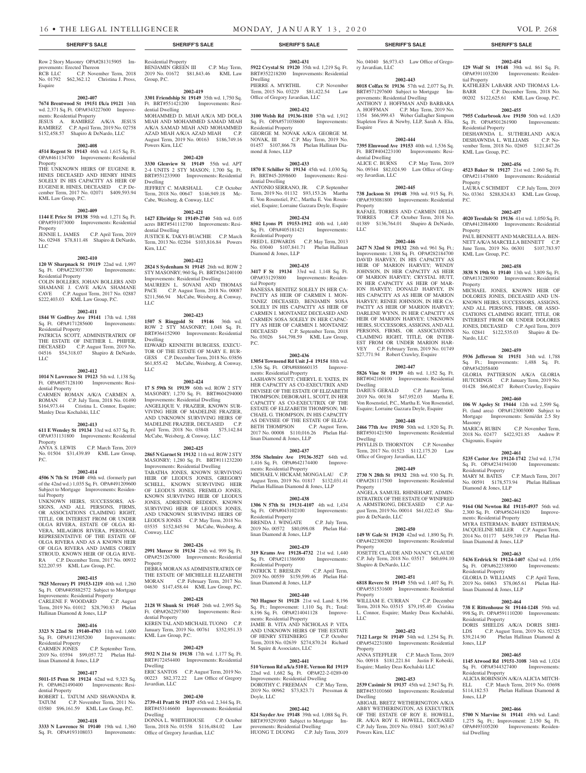provements: Erected Thereon<br>RCB LLC C.P. Novem

ments: Residential Property

KML Law Group, P.C.

Residential Property

Residential Property

dential Property

Property

tial Property

P.C.

Manley Deas Kochalski, LLC

LLC

**2002-407 7674 Brentwood St 19151 f/k/a 19121** 34th wd. 2,371 Sq. Ft. OPA#343227600 Improve-

JESUS A. RAMIREZ A/K/A JESUS RAMIREZ C.P. April Term, 2019 No. 02758 \$152,458.57 Shapiro & DeNardo, LLC **2002-408 4514 Regent St 19143** 46th wd. 1,615 Sq. Ft. OPA#461134700 Improvements: Residential

THE UNKNOWN HEIRS OF EUGENE R. HINES DECEASED AND HENRY HINES SOLELY IN HIS CAPACITY AS HEIR OF EUGENE R. HINES, DECEASED C.P. December Term, 2017 No. 02071 \$409,593.94

**2002-409 1144 E Price St 19138** 59th wd. 1,271 Sq. Ft. OPA#591073000 Improvements: Residential

JENNIE L. JAMES C.P. April Term, 2019 No. 02948 \$78,811.48 Shapiro & DeNardo,

**2002-410 120 W Sharpnack St 19119** 22nd wd. 1,997 Sq. Ft. OPA#223037300 Improvements:

COLIN BOLLERS, JOHAN BOLLERS AND SHAMANE J. CAVE A/K/A SHAMANE CAVE C.P. August Term, 2017 No. 02887 \$222,403.03 KML Law Group, P.C.

**2002-411 1844 W Godfrey Ave 19141** 17th wd. 1,588 Sq. Ft. OPA#171285600 Improvements:

PATRICIA SCOTT, ADMINISTRATRIX OF THE ESTATE OF INETHER L. PHIFER, DECEASED C.P. August Term, 2019 No. 04516 \$54,318.07 Shapiro & DeNardo,

**2002-412 1014 N Lawrence St 19123** 5th wd. 1,138 Sq. Ft. OPA#057128100 Improvements: Resi-

CARMEN ROMAN A/K/A CARMEN A. ROMAN C.P. July Term, 2018 No. 01490 \$164,973.44 Cristina L. Connor, Esquire;

**2002-413 611 E Wensley St 19134** 33rd wd. 637 Sq. Ft. OPA#331131800 Improvements: Residential

ANYA S. LEWIS C.P. March Term, 2019 No. 01504 \$31,439.89 KML Law Group,

**2002-414 4506 N 7th St 19140** 49th wd. (formerly part of the 42nd wd.) 1,035 Sq. Ft. OPA#491209600 Subject to Mortgage Improvements: Residen-

UNKNOWN HEIRS, SUCCESSORS, AS-SIGNS, AND ALL PERSONS, FIRMS, OR ASSOCIATIONS CLAIMING RIGHT, TITLE, OR INTEREST FROM OR UNDER OLGA RIVERA, ESTATE OF OLGA RI-VERA, MILAGROS RIVERA, PERSONAL REPRESENTATIVE OF THE ESTATE OF OLGA RIVERA AND AS A KNOWN HEIR OF OLGA RIVERA AND JAMES COREY STROUD, KNOWN HEIR OF OLGA RIVE-RA C.P. December Term, 2017 No. 00932 \$22,207.95 KML Law Group, P.C.

**2002-415 7825 Mercury Pl 19153-1219** 40th wd. 1,260 Sq. Ft. OPA#405882572 Subject to Mortgage Improvements: Residential Property CARLENE F. WOODARD C.P. August Term, 2019 No. 01012 \$28,790.83 Phelan

**2002-416 3323 N 22nd St 19140-4703** 11th wd. 1,600 Sq. Ft. OPA#112305200 Improvements:

2019 No. 03594 \$99,057.72 Phelan Hal-

**2002-417 5011-15 Penn St 19124** 62nd wd. 9,323 Sq. Ft. OPA#621490400 Improvements: Resi-

Hallinan Diamond & Jones, LLP

linan Diamond & Jones, LLP

Residential Property<br>CARMEN JONES

dential Property

Esquire

Property

Property

LLC

Row 2 Story Masonry OPA#281315905 Im-C.P. November Term, 2018 No. 01792 \$62,362.12 Christina J. Pross, Residential Property BENJAMIN GREEN III C.P. May Term, 2019 No. 01672 \$81,843.46 KML Law Group, P.C.

> **2002-419 3301 Friendship St 19149** 35th wd. 1,750 Sq. Ft. BRT#551421200 Improvements: Residential Dwelling

MOHAMMED D. MIAH A/K/A MD DOLA MIAH AND MOHAMMED SAMAD MIAH A/K/A SAMAD MIAH AND MOHAMMED AZAD MIAH A/K/A AZAD MIAH C.P. August Term, 2019 No. 00163 \$186,749.16 Powers Kirn, LLC

#### **2002-420**

**3330 Glenview St 19149** 55th wd. APT 2-4 UNITS 2 STY MASON; 1,700 Sq. Ft. BRT#551233900 Improvements: Residential Dwelling JEFFREY C. MARSHALL C.P. October Term, 2018 No. 00647 \$146,949.18 Mc-Cabe, Weisberg, & Conway, LLC

#### **2002-421**

**1427 Elbridge St 19149-2740** 54th wd. 0.05 acres BRT#541112700 Improvements: Residential Dwelling JUSTICE K. TAKYI-BUACHIE C.P. March Term, 2013 No. 02204 \$103,816.84 Powers Kirn, LLC

#### **2002-422**

**2824 S Sydenham St 19145** 26th wd. ROW 2 STY MASONRY; 960 Sq. Ft. BRT#261240100 Improvements: Residential Dwelling MAUREEN L. SOVANI AND THOMAS PACE C.P. August Term, 2018 No. 00087 \$211,566.94 McCabe, Weisberg, & Conway, LLC

#### **2002-423**

**1507 S Ringgold St 19146** 36th wd. ROW 2 STY MASONRY; 1,048 Sq. Ft. BRT#364152900 Improvements: Residential Dwelling EDWARD KENNETH BURGESS, EXECU-TOR OF THE ESTATE OF MARY E. BUR-GESS C.P. December Term, 2018 No. 03856 \$61,855.42 McCabe, Weisberg, & Conway, LLC

**2002-424**

**17 S 59th St 19139** 60th wd. ROW 2 STY MASONRY; 1,270 Sq. Ft. BRT#604294000 Improvements: Residential Dwelling ANGELIQUE V. FRAZIER, KNOWN SUR-VIVING HEIR OF MADELINE FRAZIER, AND UNKNOWN SURVIVING HEIRS OF MADELINE FRAZIER, DECEASED C.P. April Term, 2018 No. 03848 \$75,142.84 McCabe, Weisberg, & Conway, LLC

#### **2002-425**

**2865 N Garnet St 19132** 11th wd. ROW 2 STY MASONRY; 1,280 Sq. Ft. BRT#111232200 Improvements: Residential Dwelling

TABATHA JONES, KNOWN SURVIVING HEIR OF LEODUS JONES, GREGORY SCHELL, KNOWN SURVIVING HEIR OF LEODUS JONES, FREMILO JONES, KNOWN SURVIVING HEIR OF LEODUS JONES, ADRIENNE REDDEN, KNOWN SURVIVING HEIR OF LEODUS JONES, AND UNKNOWN SURVIVING HEIRS OF LEODUS JONES C.P. May Term, 2018 No. 03535 \$152,845.94 McCabe, Weisberg, & Conway, LLC

# **2002-426**

**2991 Mercer St 19134** 25th wd. 999 Sq. Ft. OPA#251267000 Improvements: Residential Property DEBRA MORAN AS ADMINISTRATRIX OF

THE ESTATE OF MICHELLE ELIZABETH MORAN C.P. February Term, 2017 No. 04630 \$147,458.44 KML Law Group, P.C.

#### **2002-428**

**2128 W Shunk St 19145** 26th wd. 2,995 Sq. Ft. OPA#262297300 Improvements: Residential Property KEREN TAL AND MICHAEL TUONO C.P. January Term, 2019 No. 00761 \$352,951.33 KML Law Group, P.C.

#### **2002-429**

**5932 N 21st St 19138** 17th wd. 1,177 Sq. Ft. BRT#172454400 Improvements: Residential Dwelling ERIC SANTOS C.P. August Term, 2019 No. 00223 \$82,372.22 Law Office of Gregory Javardian, LLC

BRT#453146600 Improvements: Residential Dwelling DONNA L. WHITEHOUSE C.P. October Term, 2018 No. 01558 \$116,484.02 Law

**2002-430 2739-41 Pratt St 19137** 45th wd. 2,344 Sq. Ft.

Office of Gregory Javardian, LLC

ROBERT L. TATUM AND SHAWANDA R. TATUM C.P. November Term, 2011 No. 03580 \$96,161.59 KML Law Group, P.C.

C.P. September Term,

#### **2002-418**

**3333 N Lawrence St 19140** 19th wd. 1,360 Sq. Ft. OPA#193108033 Improvements:

**2002-431 5922 Crystal St 19120** 35th wd. 1,219 Sq. Ft. BRT#352218200 Improvements: Residential

Dwelling PIERRE A. MYRTHIL C.P. November Term, 2015 No. 03229 \$81,422.54 Law Office of Gregory Javardian, LLC

# **2002-432**

**3100 Welsh Rd 19136-1810** 57th wd. 1,912 Sq. Ft. OPA#571038600 Improvements: Residential Property GEORGE M. NOVAK A/K/A GEORGE M.<br>NOVAK, III C.P. May Term, 2019 No. C.P. May Term, 2019 No.

01457 \$107,866.78 Phelan Hallinan Diamond & Jones, LLP **2002-433**

# **1870 E Schiller St 19134** 45th wd. 1,030 Sq.

Ft. BRT#45-2098600 Improvements: Residential Dwelling ANTONIO SERRANO, JR. C.P. September Term, 2019 No. 01132 \$93,153.26 Martha E. Von Rosenstiel, P.C., Martha E. Von Rosenstiel, Esquire; Lorraine Gazzara Doyle, Esquire

#### **2002-434**

**8502 Lyons Pl 19153-1912** 40th wd. 1,440 Sq. Ft. OPA#405181421 Improvements: Residential Property FRED L. EDWARDS C.P. May Term, 2013 No. 03040 \$107,841.71 Phelan Hallinan Diamond & Jones, LLP

#### **2002-435**

**3417 F St 19134** 33rd wd. 1,148 Sq. Ft. OPA#331293800 Improvements: Residential Property

BANESSA BENITEZ SOLELY IN HER CA-PACITY AS HEIR OF CARMEN I. MON-TANEZ DECEASED, BENJAMIN SOSA SOLELY IN HIS CAPACITY AS HEIR OF CARMEN I. MONTANEZ DECEASED AND CARMEN SOSA SOLELY IN HER CAPAC-ITY AS HEIR OF CARMEN I. MONTANEZ<br>DECEAESD C.P. September Term, 2018 C.P. September Term, 2018 No. 03026 \$44,798.59 KML Law Group, P.C.

#### **2002-436**

**13054 Townsend Rd Unit J-4 19154** 88th wd. 1,536 Sq. Ft. OPA#888660135 Improvements: Residential Property

LASHAWN SCOTT: CHERYL E. YATES, IN HER CAPACITY AS CO-EXECUTRIX AND DEVISEE OF THE ESTATE OF ELIZABETH THOMPSON; DEBORAH L. SCOTT, IN HER CAPACITY AS CO-EXECUTRIX OF THE ESTATE OF ELIZABETH THOMPSON; MI-CHAEL G. THOMPSON, IN HIS CAPACITY AS DEVISEE OF THE ESTATE OF ELIZA-BETH THOMPSON C.P. August Term, 2017 No. 00008 \$110,016.26 Phelan Hallinan Diamond & Jones, LLP

#### **2002-437**

**3556 Shelmire Ave 19136-3527** 64th wd. 1,416 Sq. Ft. OPA#642174400 Improvements: Residential Property MICHAEL V. HICKAM; MONGA LAU C.P. August Term, 2019 No. 01817 \$132,031.41 Phelan Hallinan Diamond & Jones, LLP

#### **2002-438**

**1306 N 57th St 19131-4107** 4th wd. 1,434 Sq. Ft. OPA#043102100 Improvements: Residential Property BRENDA J. WINGATE C.P. July Term, 2019 No. 00572 \$80,098.08 Phelan Hallinan Diamond & Jones, LLP

#### **2002-439**

**319 Krams Ave 19128-4732** 21st wd. 1,440 Sq. Ft. OPA#211386900 Improvements: Residential Property PATRICK T. BRESLIN C.P. April Term, 2019 No. 00559 \$159,599.46 Phelan Hallinan Diamond & Jones, LLP

#### **2002-440**

**703 Hagner St 19128** 21st wd. Land: 8,196 Sq. Ft.; Improvement: 1,110 Sq. Ft.; Total: 8,196 Sq. Ft. OPA#214041128 Improvements: Residential Property JAMIE B. VITA AND NICHOLAS P. VITA AND UNKNOWN HEIRS OF THE ESTATE OF HENRY STEINBERG C.P. October<br>Term. 2018 No. 02639 \$274,870.24 Richard Term, 2018 No. 02639, \$274 M. Squire & Associates, LLC

# **2002-441**

**510 Vernon Rd a/k/a 510 E. Vernon Rd 19119**  22nd wd. 1,682 Sq. Ft. OPA#22-2-0289-00 Improvements: Residential Dwelling DOROTHY C. FREEMAN C.P. May Term, 2019 No. 00962 \$73,823.71 Pressman & Doyle, LLC

# **2002-442**

**824 Snyder Ave 19148** 39th wd. 1,088 Sq. Ft. BRT#393291900 Subject to Mortgage Improvements: Residential Dwelling HUONG T. DUONG C.P. July Term, 2019

**SHERIFF'S SALE SHERIFF'S SALE SHERIFF'S SALE SHERIFF'S SALE SHERIFF'S SALE**

No. 04040 \$6,973.43 Law Office of Gregory Javardian, LLC

#### **2002-443**

**8018 Colfax St 19136** 57th wd. 2,077 Sq. Ft. BRT#571297600 Subject to Mortgage Improvements: Residential Dwelling ANTHONY J. HOFFMAN AND BARBARA A. HOFFMAN C.P. May Term, 2019 No. 1354 \$66,999.43 Weber Gallagher Simpson Stapleton Fires & Newby, LLP, Sarah A. Elia, Esquire

### **2002-444**

**7395 Elmwood Ave 19153** 40th wd. 1,536 Sq. Ft. BRT#404223100 Improvements: Residential Dwelling ALICE C. BURNS C.P. May Term, 2019 No. 09344 \$82,024.90 Law Office of Gregory Javardian, LLC

# **2002-445**

**738 Jackson St 19148** 39th wd. 915 Sq. Ft. OPA#393081800 Improvements: Residential Property RAFAEL TORRES AND CARMEN DELIA TORRES C.P. October Term, 2018 No.

01389 \$136,764.01 Shapiro & DeNardo, LLC

#### **2002-446**

**2427 N 32nd St 19132** 28th wd. 961 Sq. Ft.; Improvements: 1,388 Sq. Ft. OPA#282184700 DAVID HARVEY, IN HIS CAPACITY AS HEIR OF MARION HARVEY; WENDY JOHNSON, IN HER CAPACITY AS HEIR OF MARION HARVEY; CRYSTAL HUTT, IN HER CAPACITY AS HEIR OF MAR-ION HARVEY; DONALD HARVEY, IN HIS CAPACITY AS AS HEIR OF MARION HARVEY; RENEE JOHNSON, IN HER CA-PACITY AS HEIR OF MARION HARVEY; DARLENE WYNN, IN HER CAPACITY AS HEIR OF MARION HARVEY; UNKNOWN HEIRS, SUCCESSORS, ASSIGNS, AND ALL PERSONS, FIRMS, OR ASSOCIATIONS CLAIMING RIGHT, TITLE, OR INTER-EST FROM OR UNDER MARION HAR-VEY C.P. February Term, 2019 No. 01749 \$27,771.94 Robert Crawley, Esquire

# **2002-447**

**5826 Vine St 19139** 4th wd. 1,152 Sq. Ft. BRT#042160100 Improvements: Residential Dwelling<br>DARIUS GERALD

C.P. January Term, 2019 No. 00138 \$47,952.03 Martha E. Von Rosenstiel, P.C., Martha E. Von Rosenstiel, Esquire; Lorraine Gazzara Doyle, Esquire

#### **2002-448**

**2466 77th Ave 19150** 50th wd. 1,920 Sq. Ft. BRT#501421500 Improvements: Residential Dwelling PHYLLIS D. THORNTON C.P. November

Term, 2017 No. 01523 \$112,175.20 Law Office of Gregory Javardian, LLC

### **2002-449**

**2730 N 28th St 19132** 28th wd. 930 Sq. Ft. OPA#281117500 Improvements: Residential Property ANGELA SAMUEL RHINEHART, ADMIN-ISTRATRIX OF THE ESTATE OF WINIFRED A. ARMSTRONG, DECEASED C.P. August Term, 2019 No. 00014 \$61,022.45 Shapiro & DeNardo, LLC

#### **2002-450**

**149 W Gale St 19120** 42nd wd. 1,890 Sq. Ft. OPA#422300200 Improvements: Residential Property

JOSETTE CLAUDE AND NANCY CLAUDE C.P. July Term, 2018 No. 03517 \$60,694.10 Shapiro & DeNardo, LLC

### **2002-451**

**6818 Revere St. 19149 55th wd. 1,407 Sq. Ft.** OPA#551531600 Improvements: Residential Property WILLIAM E. CURRAN C.P. December

Term, 2018 No. 03515 \$79,195.40 Cristina L. Connor, Esquire; Manley Deas Kochalski, LLC

# **2002-452**

**7122 Large St 19149** 54th wd. 1,254 Sq. Ft. OPA#542231800 Improvements: Residential Property

ANNA STEFFLER C.P. March Term, 2019 No. 00918 \$181,221.84 Justin F. Kobeski, Esquire; Manley Deas Kochalski LLC

#### **2002-453**

**2539 Casimir St 19137** 45th wd. 2,947 Sq. Ft. BRT#453101660 Improvements: Residential Dwelling

ABIGAIL BRETZ WETHERINGTON A/K/A ABBY WETHERINGTON, AS EXECUTRIX OF THE ESTATE OF ROY E. HOWELL, JR. A/K/A ROY E. HOWELL, DECEASED C.P. July Term, 2019 No. 03843 \$107,963.67 Powers Kirn, LLC

#### **2002-454 129 Wolf St 19148** 39th wd. 861 Sq. Ft.

OPA#391103200 Improvements: Residential Property KATHLEEN LABARR AND THOMAS LA-BARR C.P. December Term, 2018 No. 00202 \$122,625.61 KML Law Group, P.C.

#### **2002-455**

**7955 Cedarbrook Ave 19150** 50th wd. 1,620 Sq. Ft. OPA#501261900 Improvements: Residential Property

DESHAWNDA L. SUTHERLAND A/K/A DESHAWNDA L. WILLIAMS C.P. November Term, 2018 No. 02605 \$121,847.26 KML Law Group, P.C.

#### **2002-456**

**4523 Baker St 19127** 21st wd. 2,060 Sq. Ft. OPA#211476800 Improvements: Residential Property LAURA C SCHMIDT C.P. July Term, 2019

No. 03361 \$288,824.83 KML Law Group,

**2002-457 4020 Teesdale St 19136** 41st wd. 1,050 Sq. Ft. OPA#412084000 Improvements: Residential

PAUL BENNETT AND MARCELLA A. BEN-NETT A/K/A MARCELLA BENNETT C.P. June Term, 2019 No. 06301 \$107,783.97

**2002-458 3838 N 19th St 19140** 13th wd. 3,809 Sq. Ft. OPA#131280900 Improvements: Residential

MICHAEL JONES, KNOWN HEIR OF DOLORES JONES, DECEASED AND UN-KNOWN HEIRS, SUCCESSORS, ASSIGNS, AND ALL PERSONS, FIRMS, OR ASSO-CIATIONS CLAIMING RIGHT, TITLE, OR INTEREST FROM OR UNDER DOLORES JONES, DECEASED C.P. April Term, 2019 No. 02841 \$122,535.03 Shapiro & De-

**2002-459 5936 Jefferson St 19151** 34th wd. 1,788 Sq. Ft.; Improvements: 1,488 Sq. Ft.

GLORIA PATTERSON A/K/A GLORIA HUTCHINGS C.P. January Term, 2019 No. 01428 \$66,602.87 Robert Crawley, Esquire **2002-460 106 W Apsley St 19444** 12th wd. 2,599 Sq. Ft. (land area) OPA#123003000 Subject to Mortgage Improvements: Semi/det 2.5 Sty

MARICA RUBIN C.P. November Term, 2018 No. 02477 \$422,921.85 Andrew P.

**2002-461 5235 Castor Ave 19124-1742** 23rd wd. 1,734 Sq. Ft. OPA#234194100 Improvements:

MARY M. BATES C.P. March Term, 2017 No. 00591 \$178,573.94 Phelan Hallinan

**2002-462 9164 Old Newton Rd 19115-4937** 56th wd. 2,300 Sq. Ft. OPA#562441820 Improve-

MYRA ESTERMAN; BARRY ESTERMAN; JACQUELINE MILLER C.P. August Term, 2014 No. 01177 \$459,749.19 Phelan Hal-

**2002-463 5436 Erdrick St 19124-1407** 62nd wd. 1,056 Sq. Ft. OPA#622338900 Improvements:

GLORIA D. WILLIAMS C.P. April Term, 2019 No. 04063 \$78,065.61 Phelan Hal-

**2002-464 738 E Rittenhouse St 19144-1248** 59th wd. 998 Sq. Ft. OPA#591110200 Improvements:

DORIS SHIELDS A/K/A DORIS SHEI-LDS C.P. August Term, 2019 No. 02325 \$39,214.90 Phelan Hallinan Diamond &

**2002-465 1145 Atwood Rd 19151-3108** 34th wd. 1,024

ALICIA ROBINSON A/K/A ALICIA MITCH-ELL C.P. March Term, 2019 No. 03698 \$114,182.53 Phelan Hallinan Diamond &

**2002-466 5700 N Marvine St 19141** 49th wd. Land: 1,275 Sq. Ft.; Improvement: 2,150 Sq. Ft. OPA#493105200 Improvements: Residen-

P.C.

Property

Property

Nardo, LLC

Masonry

Chigounis, Esquire

Residential Property

Diamond & Jones, LLP

ments: Residential Property

linan Diamond & Jones, LLP

linan Diamond & Jones, LLP

Residential Property

Residential Property

Sq. Ft. OPA#344327400 Residential Property

Jones, LLP

Jones, LLP

tial Dwelling

OPA#342058400

KML Law Group, P.C.